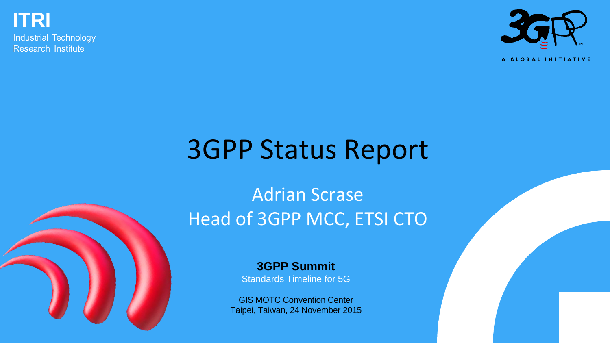**ITRI**

**Industrial Technology** Research Institute



A GLOBAL INITIATIVE

# 3GPP Status Report

### Adrian Scrase Head of 3GPP MCC, ETSI CTO

**3GPP Summit** Standards Timeline for 5G

GIS MOTC Convention Center Taipei, Taiwan, 24 November 2015

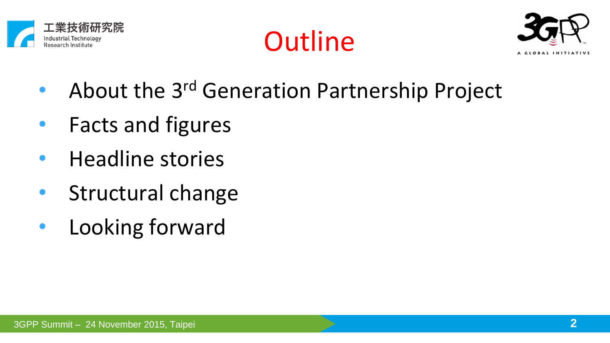





- About the 3rd Generation Partnership Project
- Facts and figures
- Headline stories
- Structural change
- Looking forward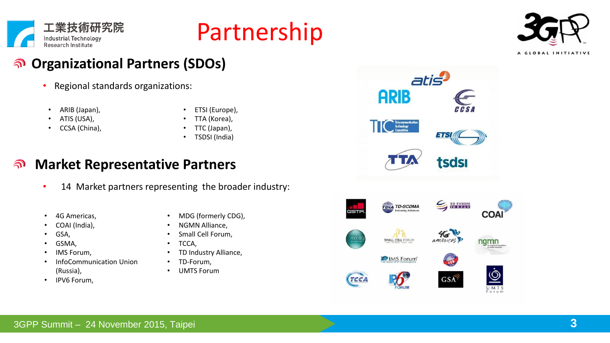

## Partnership



#### **Organizational Partners (SDOs)**  $\widehat{\mathbf{r}}$

- Regional standards organizations:
- ARIB (Japan),

• ETSI (Europe),

- ATIS (USA),
- CCSA (China),
- TTA (Korea),
- TTC (Japan), • TSDSI (India)

#### **Market Representative Partners**  $\widehat{\mathbf{r}}$

- 14 Market partners representing the broader industry:
- 4G Americas,
- COAI (India),
- GSA,
- GSMA,
- IMS Forum.
- InfoCommunication Union (Russia),
- IPV6 Forum,
- MDG (formerly CDG),
- NGMN Alliance,
- Small Cell Forum.
- TCCA,
- TD Industry Alliance,
- TD-Forum,
- UMTS Forum

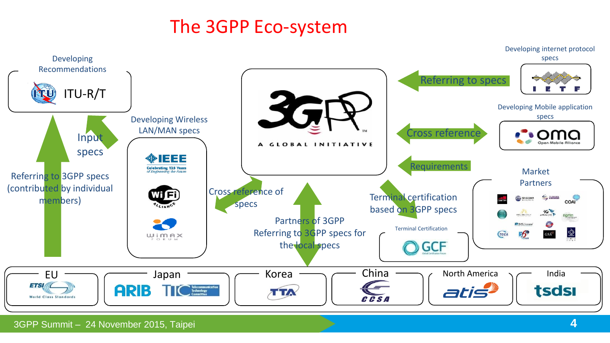### The 3GPP Eco-system

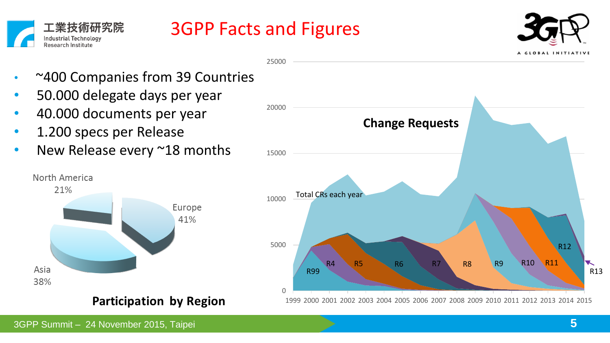



25000



- ~400 Companies from 39 Countries
- 50.000 delegate days per year
- 40.000 documents per year
- 1.200 specs per Release
- New Release every ~18 months



**Participation by Region** 

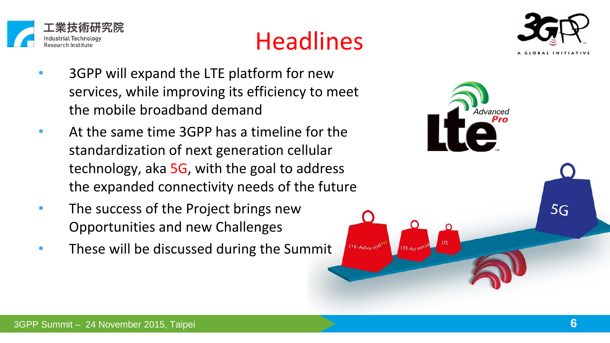





- 3GPP will expand the LTE platform for new services, while improving its efficiency to meet the mobile broadband demand
- At the same time 3GPP has a timeline for the standardization of next generation cellular technology, aka 5G, with the goal to address the expanded connectivity needs of the future
- The success of the Project brings new Opportunities and new Challenges
- These will be discussed during the Summit

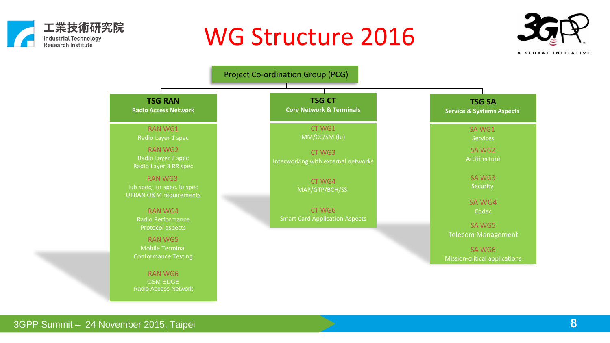

## WG Structure 2016





3GPP Summit – 24 November 2015, Taipei **8**